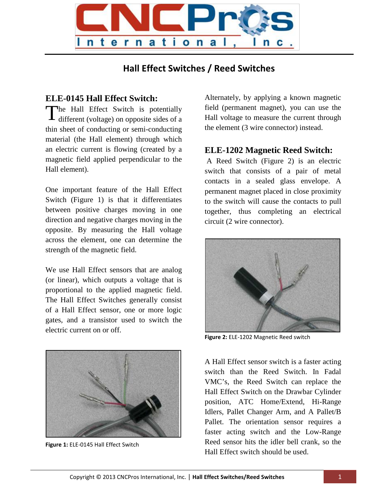

## **Hall Effect Switches / Reed Switches**

## **ELE-0145 Hall Effect Switch:**

The Hall Effect Switch is potentially<br>different (voltage) on opposite sides of a different (voltage) on opposite sides of a thin sheet of conducting or semi-conducting material (the Hall element) through which an electric current is flowing (created by a magnetic field applied perpendicular to the Hall element).

One important feature of the Hall Effect Switch (Figure 1) is that it differentiates between positive charges moving in one direction and negative charges moving in the opposite. By measuring the Hall voltage across the element, one can determine the strength of the magnetic field.

We use Hall Effect sensors that are analog (or linear), which outputs a voltage that is proportional to the applied magnetic field. The Hall Effect Switches generally consist of a Hall Effect sensor, one or more logic gates, and a transistor used to switch the electric current on or off.



**Figure 1:** ELE-0145 Hall Effect Switch

Alternately, by applying a known magnetic field (permanent magnet), you can use the Hall voltage to measure the current through the element (3 wire connector) instead.

## **ELE-1202 Magnetic Reed Switch:**

A Reed Switch (Figure 2) is an electric switch that consists of a pair of metal contacts in a sealed glass envelope. A permanent magnet placed in close proximity to the switch will cause the contacts to pull together, thus completing an electrical circuit (2 wire connector).



**Figure 2:** ELE-1202 Magnetic Reed switch

A Hall Effect sensor switch is a faster acting switch than the Reed Switch. In Fadal VMC's, the Reed Switch can replace the Hall Effect Switch on the Drawbar Cylinder position, ATC Home/Extend, Hi-Range Idlers, Pallet Changer Arm, and A Pallet/B Pallet. The orientation sensor requires a faster acting switch and the Low-Range Reed sensor hits the idler bell crank, so the Hall Effect switch should be used.